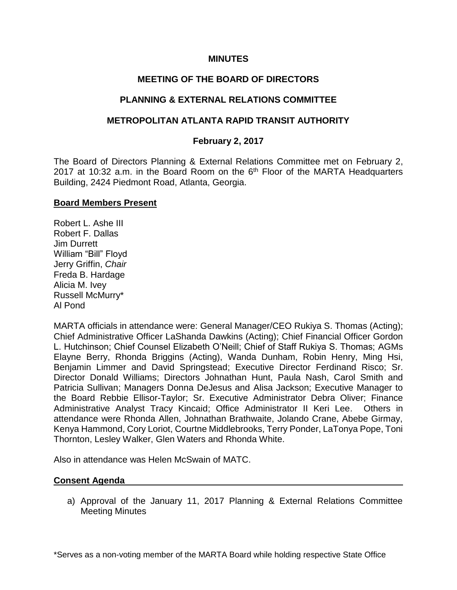## **MINUTES**

# **MEETING OF THE BOARD OF DIRECTORS**

## **PLANNING & EXTERNAL RELATIONS COMMITTEE**

## **METROPOLITAN ATLANTA RAPID TRANSIT AUTHORITY**

## **February 2, 2017**

The Board of Directors Planning & External Relations Committee met on February 2, 2017 at 10:32 a.m. in the Board Room on the  $6<sup>th</sup>$  Floor of the MARTA Headquarters Building, 2424 Piedmont Road, Atlanta, Georgia.

#### **Board Members Present**

Robert L. Ashe III Robert F. Dallas Jim Durrett William "Bill" Floyd Jerry Griffin, *Chair* Freda B. Hardage Alicia M. Ivey Russell McMurry\* Al Pond

MARTA officials in attendance were: General Manager/CEO Rukiya S. Thomas (Acting); Chief Administrative Officer LaShanda Dawkins (Acting); Chief Financial Officer Gordon L. Hutchinson; Chief Counsel Elizabeth O'Neill; Chief of Staff Rukiya S. Thomas; AGMs Elayne Berry, Rhonda Briggins (Acting), Wanda Dunham, Robin Henry, Ming Hsi, Benjamin Limmer and David Springstead; Executive Director Ferdinand Risco; Sr. Director Donald Williams; Directors Johnathan Hunt, Paula Nash, Carol Smith and Patricia Sullivan; Managers Donna DeJesus and Alisa Jackson; Executive Manager to the Board Rebbie Ellisor-Taylor; Sr. Executive Administrator Debra Oliver; Finance Administrative Analyst Tracy Kincaid; Office Administrator II Keri Lee. Others in attendance were Rhonda Allen, Johnathan Brathwaite, Jolando Crane, Abebe Girmay, Kenya Hammond, Cory Loriot, Courtne Middlebrooks, Terry Ponder, LaTonya Pope, Toni Thornton, Lesley Walker, Glen Waters and Rhonda White.

Also in attendance was Helen McSwain of MATC.

## **Consent Agenda**

a) Approval of the January 11, 2017 Planning & External Relations Committee Meeting Minutes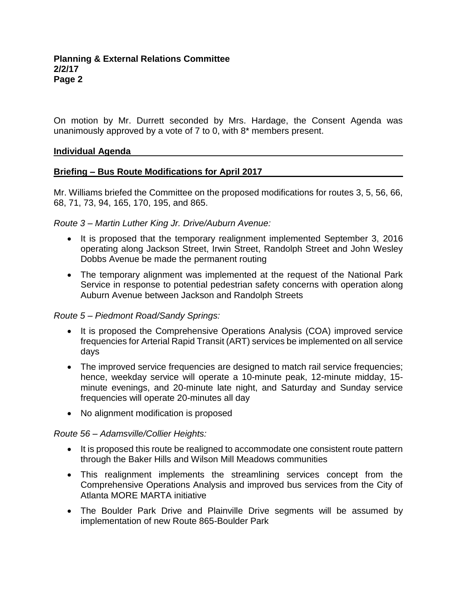On motion by Mr. Durrett seconded by Mrs. Hardage, the Consent Agenda was unanimously approved by a vote of 7 to 0, with 8\* members present.

## **Individual Agenda**

## **Briefing – Bus Route Modifications for April 2017**

Mr. Williams briefed the Committee on the proposed modifications for routes 3, 5, 56, 66, 68, 71, 73, 94, 165, 170, 195, and 865.

## *Route 3 – Martin Luther King Jr. Drive/Auburn Avenue:*

- It is proposed that the temporary realignment implemented September 3, 2016 operating along Jackson Street, Irwin Street, Randolph Street and John Wesley Dobbs Avenue be made the permanent routing
- The temporary alignment was implemented at the request of the National Park Service in response to potential pedestrian safety concerns with operation along Auburn Avenue between Jackson and Randolph Streets

# *Route 5 – Piedmont Road/Sandy Springs:*

- It is proposed the Comprehensive Operations Analysis (COA) improved service frequencies for Arterial Rapid Transit (ART) services be implemented on all service days
- The improved service frequencies are designed to match rail service frequencies; hence, weekday service will operate a 10-minute peak, 12-minute midday, 15 minute evenings, and 20-minute late night, and Saturday and Sunday service frequencies will operate 20-minutes all day
- No alignment modification is proposed

# *Route 56 – Adamsville/Collier Heights:*

- It is proposed this route be realigned to accommodate one consistent route pattern through the Baker Hills and Wilson Mill Meadows communities
- This realignment implements the streamlining services concept from the Comprehensive Operations Analysis and improved bus services from the City of Atlanta MORE MARTA initiative
- The Boulder Park Drive and Plainville Drive segments will be assumed by implementation of new Route 865-Boulder Park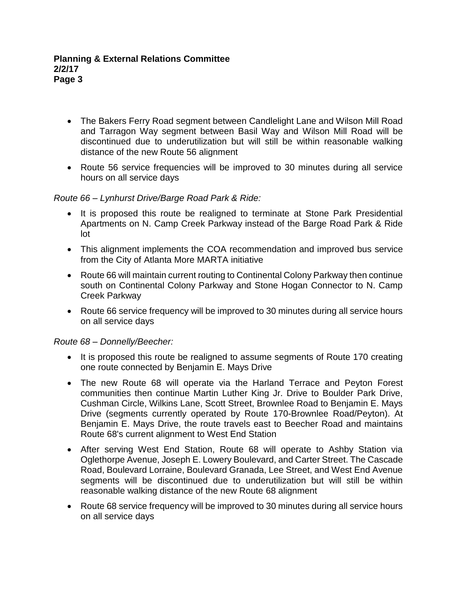- The Bakers Ferry Road segment between Candlelight Lane and Wilson Mill Road and Tarragon Way segment between Basil Way and Wilson Mill Road will be discontinued due to underutilization but will still be within reasonable walking distance of the new Route 56 alignment
- Route 56 service frequencies will be improved to 30 minutes during all service hours on all service days

## *Route 66 – Lynhurst Drive/Barge Road Park & Ride:*

- It is proposed this route be realigned to terminate at Stone Park Presidential Apartments on N. Camp Creek Parkway instead of the Barge Road Park & Ride lot
- This alignment implements the COA recommendation and improved bus service from the City of Atlanta More MARTA initiative
- Route 66 will maintain current routing to Continental Colony Parkway then continue south on Continental Colony Parkway and Stone Hogan Connector to N. Camp Creek Parkway
- Route 66 service frequency will be improved to 30 minutes during all service hours on all service days

## *Route 68 – Donnelly/Beecher:*

- It is proposed this route be realigned to assume segments of Route 170 creating one route connected by Benjamin E. Mays Drive
- The new Route 68 will operate via the Harland Terrace and Peyton Forest communities then continue Martin Luther King Jr. Drive to Boulder Park Drive, Cushman Circle, Wilkins Lane, Scott Street, Brownlee Road to Benjamin E. Mays Drive (segments currently operated by Route 170-Brownlee Road/Peyton). At Benjamin E. Mays Drive, the route travels east to Beecher Road and maintains Route 68's current alignment to West End Station
- After serving West End Station, Route 68 will operate to Ashby Station via Oglethorpe Avenue, Joseph E. Lowery Boulevard, and Carter Street. The Cascade Road, Boulevard Lorraine, Boulevard Granada, Lee Street, and West End Avenue segments will be discontinued due to underutilization but will still be within reasonable walking distance of the new Route 68 alignment
- Route 68 service frequency will be improved to 30 minutes during all service hours on all service days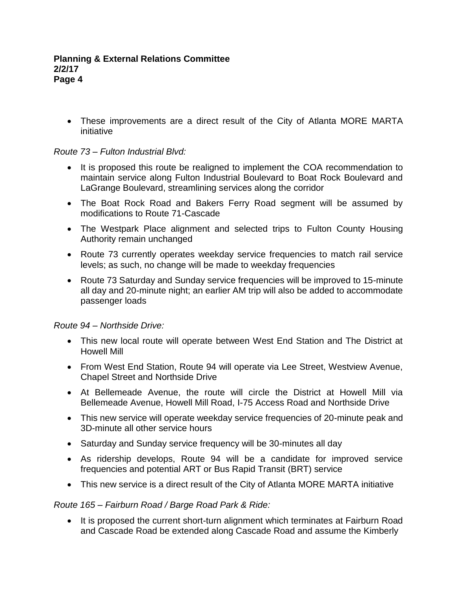• These improvements are a direct result of the City of Atlanta MORE MARTA initiative

# *Route 73 – Fulton Industrial Blvd:*

- It is proposed this route be realigned to implement the COA recommendation to maintain service along Fulton Industrial Boulevard to Boat Rock Boulevard and LaGrange Boulevard, streamlining services along the corridor
- The Boat Rock Road and Bakers Ferry Road segment will be assumed by modifications to Route 71-Cascade
- The Westpark Place alignment and selected trips to Fulton County Housing Authority remain unchanged
- Route 73 currently operates weekday service frequencies to match rail service levels; as such, no change will be made to weekday frequencies
- Route 73 Saturday and Sunday service frequencies will be improved to 15-minute all day and 20-minute night; an earlier AM trip will also be added to accommodate passenger loads

*Route 94 – Northside Drive:*

- This new local route will operate between West End Station and The District at Howell Mill
- From West End Station, Route 94 will operate via Lee Street, Westview Avenue, Chapel Street and Northside Drive
- At Bellemeade Avenue, the route will circle the District at Howell Mill via Bellemeade Avenue, Howell Mill Road, I-75 Access Road and Northside Drive
- This new service will operate weekday service frequencies of 20-minute peak and 3D-minute all other service hours
- Saturday and Sunday service frequency will be 30-minutes all day
- As ridership develops, Route 94 will be a candidate for improved service frequencies and potential ART or Bus Rapid Transit (BRT) service
- This new service is a direct result of the City of Atlanta MORE MARTA initiative

# *Route 165 – Fairburn Road / Barge Road Park & Ride:*

• It is proposed the current short-turn alignment which terminates at Fairburn Road and Cascade Road be extended along Cascade Road and assume the Kimberly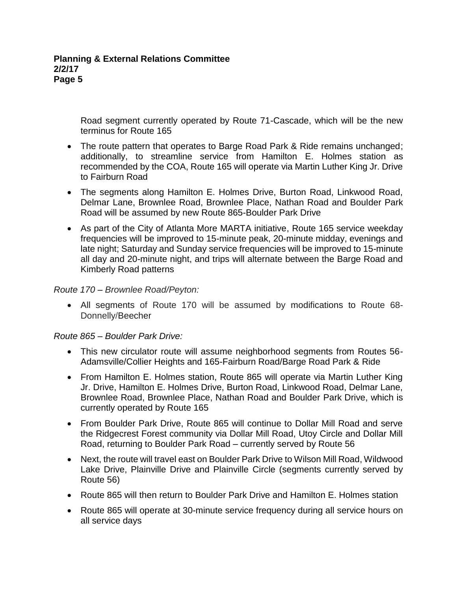Road segment currently operated by Route 71-Cascade, which will be the new terminus for Route 165

- The route pattern that operates to Barge Road Park & Ride remains unchanged; additionally, to streamline service from Hamilton E. Holmes station as recommended by the COA, Route 165 will operate via Martin Luther King Jr. Drive to Fairburn Road
- The segments along Hamilton E. Holmes Drive, Burton Road, Linkwood Road, Delmar Lane, Brownlee Road, Brownlee Place, Nathan Road and Boulder Park Road will be assumed by new Route 865-Boulder Park Drive
- As part of the City of Atlanta More MARTA initiative, Route 165 service weekday frequencies will be improved to 15-minute peak, 20-minute midday, evenings and late night; Saturday and Sunday service frequencies will be improved to 15-minute all day and 20-minute night, and trips will alternate between the Barge Road and Kimberly Road patterns

## *Route 170 – Brownlee Road/Peyton:*

• All segments of Route 170 will be assumed by modifications to Route 68- Donnelly/Beecher

# *Route 865 – Boulder Park Drive:*

- This new circulator route will assume neighborhood segments from Routes 56- Adamsville/Collier Heights and 165-Fairburn Road/Barge Road Park & Ride
- From Hamilton E. Holmes station, Route 865 will operate via Martin Luther King Jr. Drive, Hamilton E. Holmes Drive, Burton Road, Linkwood Road, Delmar Lane, Brownlee Road, Brownlee Place, Nathan Road and Boulder Park Drive, which is currently operated by Route 165
- From Boulder Park Drive, Route 865 will continue to Dollar Mill Road and serve the Ridgecrest Forest community via Dollar Mill Road, Utoy Circle and Dollar Mill Road, returning to Boulder Park Road – currently served by Route 56
- Next, the route will travel east on Boulder Park Drive to Wilson Mill Road, Wildwood Lake Drive, Plainville Drive and Plainville Circle (segments currently served by Route 56)
- Route 865 will then return to Boulder Park Drive and Hamilton E. Holmes station
- Route 865 will operate at 30-minute service frequency during all service hours on all service days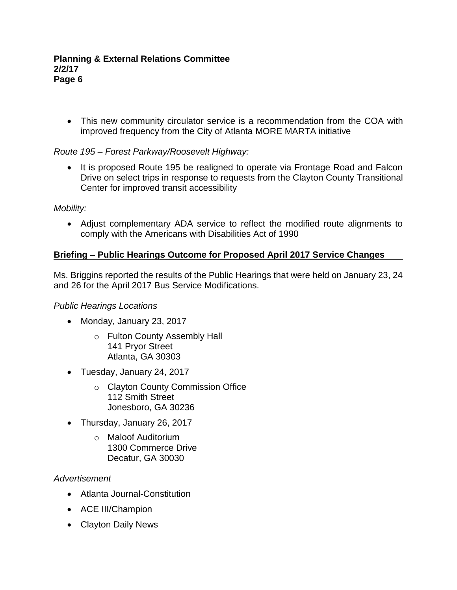• This new community circulator service is a recommendation from the COA with improved frequency from the City of Atlanta MORE MARTA initiative

# *Route 195 – Forest Parkway/Roosevelt Highway:*

• It is proposed Route 195 be realigned to operate via Frontage Road and Falcon Drive on select trips in response to requests from the Clayton County Transitional Center for improved transit accessibility

## *Mobility:*

• Adjust complementary ADA service to reflect the modified route alignments to comply with the Americans with Disabilities Act of 1990

# **Briefing – Public Hearings Outcome for Proposed April 2017 Service Changes**

Ms. Briggins reported the results of the Public Hearings that were held on January 23, 24 and 26 for the April 2017 Bus Service Modifications.

## *Public Hearings Locations*

- Monday, January 23, 2017
	- o Fulton County Assembly Hall 141 Pryor Street Atlanta, GA 30303
- Tuesday, January 24, 2017
	- o Clayton County Commission Office 112 Smith Street Jonesboro, GA 30236
- Thursday, January 26, 2017
	- o Maloof Auditorium 1300 Commerce Drive Decatur, GA 30030

## *Advertisement*

- Atlanta Journal-Constitution
- ACE III/Champion
- Clayton Daily News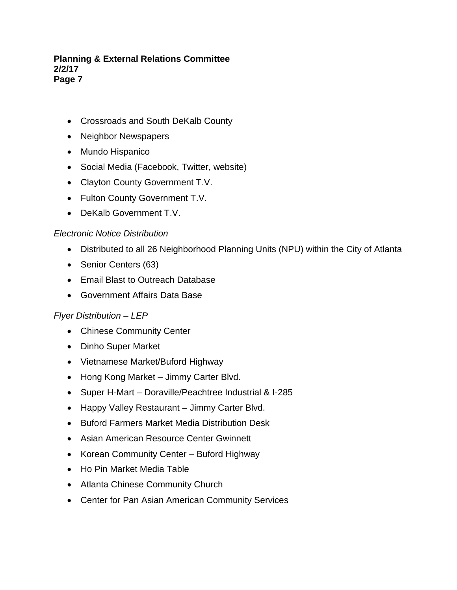- Crossroads and South DeKalb County
- Neighbor Newspapers
- Mundo Hispanico
- Social Media (Facebook, Twitter, website)
- Clayton County Government T.V.
- Fulton County Government T.V.
- DeKalb Government T.V.

## *Electronic Notice Distribution*

- Distributed to all 26 Neighborhood Planning Units (NPU) within the City of Atlanta
- Senior Centers (63)
- Email Blast to Outreach Database
- Government Affairs Data Base

# *Flyer Distribution – LEP*

- Chinese Community Center
- Dinho Super Market
- Vietnamese Market/Buford Highway
- Hong Kong Market Jimmy Carter Blvd.
- Super H-Mart Doraville/Peachtree Industrial & I-285
- Happy Valley Restaurant Jimmy Carter Blvd.
- Buford Farmers Market Media Distribution Desk
- Asian American Resource Center Gwinnett
- Korean Community Center Buford Highway
- Ho Pin Market Media Table
- Atlanta Chinese Community Church
- Center for Pan Asian American Community Services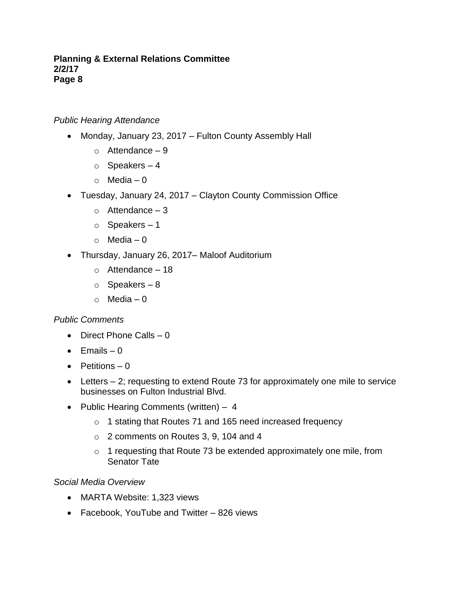## *Public Hearing Attendance*

- Monday, January 23, 2017 Fulton County Assembly Hall
	- $\circ$  Attendance 9
	- $\circ$  Speakers 4
	- $\circ$  Media 0
- Tuesday, January 24, 2017 Clayton County Commission Office
	- $\circ$  Attendance 3
	- o Speakers 1
	- $\circ$  Media 0
- Thursday, January 26, 2017– Maloof Auditorium
	- $\circ$  Attendance 18
	- $\circ$  Speakers 8
	- $\circ$  Media 0

## *Public Comments*

- Direct Phone Calls 0
- $\bullet$  Emails  $-0$
- Petitions 0
- Letters 2; requesting to extend Route 73 for approximately one mile to service businesses on Fulton Industrial Blvd.
- Public Hearing Comments (written) 4
	- o 1 stating that Routes 71 and 165 need increased frequency
	- o 2 comments on Routes 3, 9, 104 and 4
	- o 1 requesting that Route 73 be extended approximately one mile, from Senator Tate

## *Social Media Overview*

- MARTA Website: 1,323 views
- Facebook, YouTube and Twitter 826 views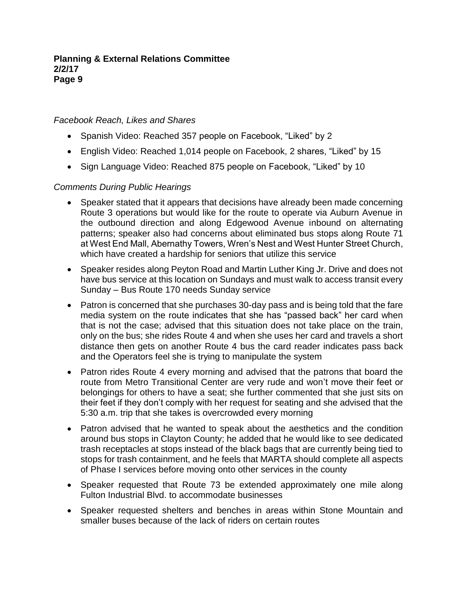## *Facebook Reach, Likes and Shares*

- Spanish Video: Reached 357 people on Facebook, "Liked" by 2
- English Video: Reached 1,014 people on Facebook, 2 shares, "Liked" by 15
- Sign Language Video: Reached 875 people on Facebook, "Liked" by 10

# *Comments During Public Hearings*

- Speaker stated that it appears that decisions have already been made concerning Route 3 operations but would like for the route to operate via Auburn Avenue in the outbound direction and along Edgewood Avenue inbound on alternating patterns; speaker also had concerns about eliminated bus stops along Route 71 at West End Mall, Abernathy Towers, Wren's Nest and West Hunter Street Church, which have created a hardship for seniors that utilize this service
- Speaker resides along Peyton Road and Martin Luther King Jr. Drive and does not have bus service at this location on Sundays and must walk to access transit every Sunday – Bus Route 170 needs Sunday service
- Patron is concerned that she purchases 30-day pass and is being told that the fare media system on the route indicates that she has "passed back" her card when that is not the case; advised that this situation does not take place on the train, only on the bus; she rides Route 4 and when she uses her card and travels a short distance then gets on another Route 4 bus the card reader indicates pass back and the Operators feel she is trying to manipulate the system
- Patron rides Route 4 every morning and advised that the patrons that board the route from Metro Transitional Center are very rude and won't move their feet or belongings for others to have a seat; she further commented that she just sits on their feet if they don't comply with her request for seating and she advised that the 5:30 a.m. trip that she takes is overcrowded every morning
- Patron advised that he wanted to speak about the aesthetics and the condition around bus stops in Clayton County; he added that he would like to see dedicated trash receptacles at stops instead of the black bags that are currently being tied to stops for trash containment, and he feels that MARTA should complete all aspects of Phase I services before moving onto other services in the county
- Speaker requested that Route 73 be extended approximately one mile along Fulton Industrial Blvd. to accommodate businesses
- Speaker requested shelters and benches in areas within Stone Mountain and smaller buses because of the lack of riders on certain routes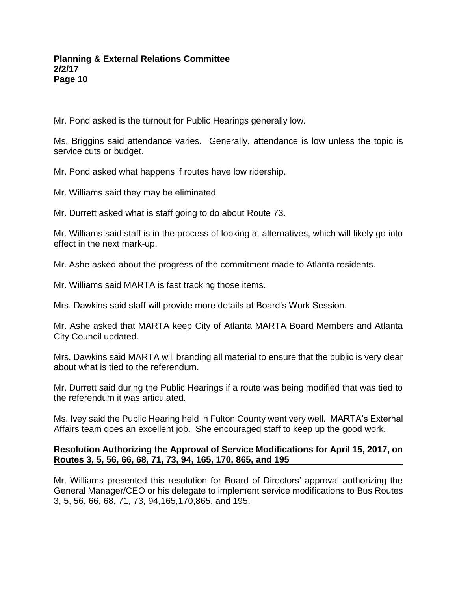Mr. Pond asked is the turnout for Public Hearings generally low.

Ms. Briggins said attendance varies. Generally, attendance is low unless the topic is service cuts or budget.

Mr. Pond asked what happens if routes have low ridership.

Mr. Williams said they may be eliminated.

Mr. Durrett asked what is staff going to do about Route 73.

Mr. Williams said staff is in the process of looking at alternatives, which will likely go into effect in the next mark-up.

Mr. Ashe asked about the progress of the commitment made to Atlanta residents.

Mr. Williams said MARTA is fast tracking those items.

Mrs. Dawkins said staff will provide more details at Board's Work Session.

Mr. Ashe asked that MARTA keep City of Atlanta MARTA Board Members and Atlanta City Council updated.

Mrs. Dawkins said MARTA will branding all material to ensure that the public is very clear about what is tied to the referendum.

Mr. Durrett said during the Public Hearings if a route was being modified that was tied to the referendum it was articulated.

Ms. Ivey said the Public Hearing held in Fulton County went very well. MARTA's External Affairs team does an excellent job. She encouraged staff to keep up the good work.

## **Resolution Authorizing the Approval of Service Modifications for April 15, 2017, on Routes 3, 5, 56, 66, 68, 71, 73, 94, 165, 170, 865, and 195**

Mr. Williams presented this resolution for Board of Directors' approval authorizing the General Manager/CEO or his delegate to implement service modifications to Bus Routes 3, 5, 56, 66, 68, 71, 73, 94,165,170,865, and 195.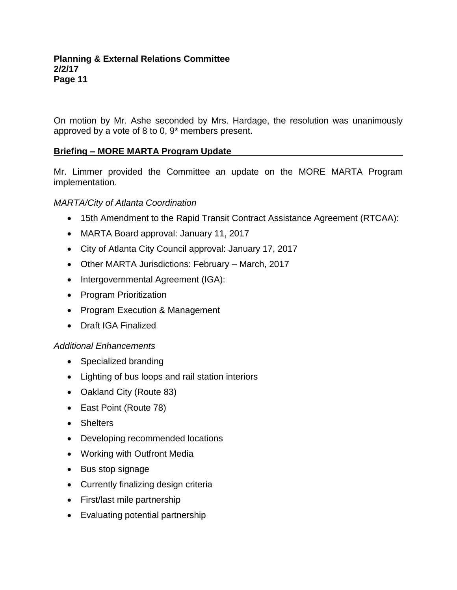On motion by Mr. Ashe seconded by Mrs. Hardage, the resolution was unanimously approved by a vote of 8 to 0, 9\* members present.

# **Briefing – MORE MARTA Program Update**

Mr. Limmer provided the Committee an update on the MORE MARTA Program implementation.

## *MARTA/City of Atlanta Coordination*

- 15th Amendment to the Rapid Transit Contract Assistance Agreement (RTCAA):
- MARTA Board approval: January 11, 2017
- City of Atlanta City Council approval: January 17, 2017
- Other MARTA Jurisdictions: February March, 2017
- Intergovernmental Agreement (IGA):
- Program Prioritization
- Program Execution & Management
- Draft IGA Finalized

## *Additional Enhancements*

- Specialized branding
- Lighting of bus loops and rail station interiors
- Oakland City (Route 83)
- East Point (Route 78)
- Shelters
- Developing recommended locations
- Working with Outfront Media
- Bus stop signage
- Currently finalizing design criteria
- First/last mile partnership
- Evaluating potential partnership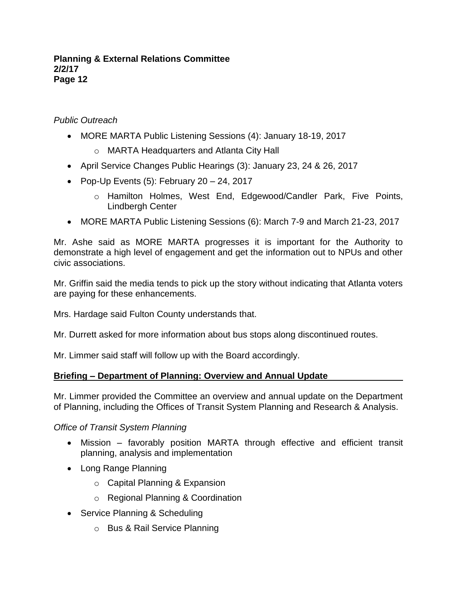# *Public Outreach*

- MORE MARTA Public Listening Sessions (4): January 18-19, 2017
	- o MARTA Headquarters and Atlanta City Hall
- April Service Changes Public Hearings (3): January 23, 24 & 26, 2017
- Pop-Up Events  $(5)$ : February 20 24, 2017
	- o Hamilton Holmes, West End, Edgewood/Candler Park, Five Points, Lindbergh Center
- MORE MARTA Public Listening Sessions (6): March 7-9 and March 21-23, 2017

Mr. Ashe said as MORE MARTA progresses it is important for the Authority to demonstrate a high level of engagement and get the information out to NPUs and other civic associations.

Mr. Griffin said the media tends to pick up the story without indicating that Atlanta voters are paying for these enhancements.

Mrs. Hardage said Fulton County understands that.

Mr. Durrett asked for more information about bus stops along discontinued routes.

Mr. Limmer said staff will follow up with the Board accordingly.

## **Briefing – Department of Planning: Overview and Annual Update**

Mr. Limmer provided the Committee an overview and annual update on the Department of Planning, including the Offices of Transit System Planning and Research & Analysis.

## *Office of Transit System Planning*

- Mission favorably position MARTA through effective and efficient transit planning, analysis and implementation
- Long Range Planning
	- o Capital Planning & Expansion
	- o Regional Planning & Coordination
- Service Planning & Scheduling
	- o Bus & Rail Service Planning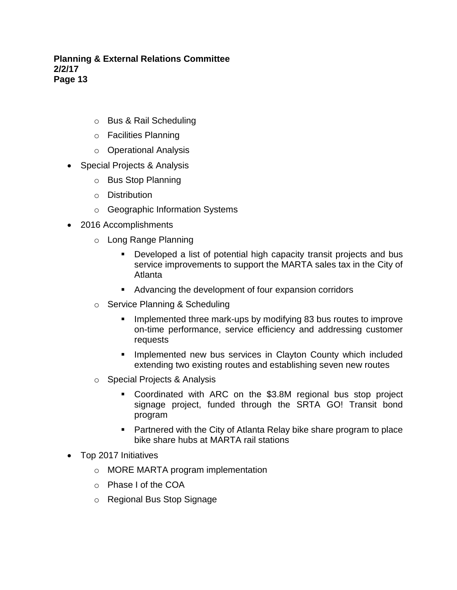- o Bus & Rail Scheduling
- o Facilities Planning
- o Operational Analysis
- Special Projects & Analysis
	- o Bus Stop Planning
	- o Distribution
	- o Geographic Information Systems
- 2016 Accomplishments
	- o Long Range Planning
		- Developed a list of potential high capacity transit projects and bus service improvements to support the MARTA sales tax in the City of Atlanta
		- Advancing the development of four expansion corridors
	- o Service Planning & Scheduling
		- **EXED Implemented three mark-ups by modifying 83 bus routes to improve** on-time performance, service efficiency and addressing customer requests
		- **EXT** Implemented new bus services in Clayton County which included extending two existing routes and establishing seven new routes
	- o Special Projects & Analysis
		- Coordinated with ARC on the \$3.8M regional bus stop project signage project, funded through the SRTA GO! Transit bond program
		- Partnered with the City of Atlanta Relay bike share program to place bike share hubs at MARTA rail stations
- Top 2017 Initiatives
	- o MORE MARTA program implementation
	- o Phase I of the COA
	- o Regional Bus Stop Signage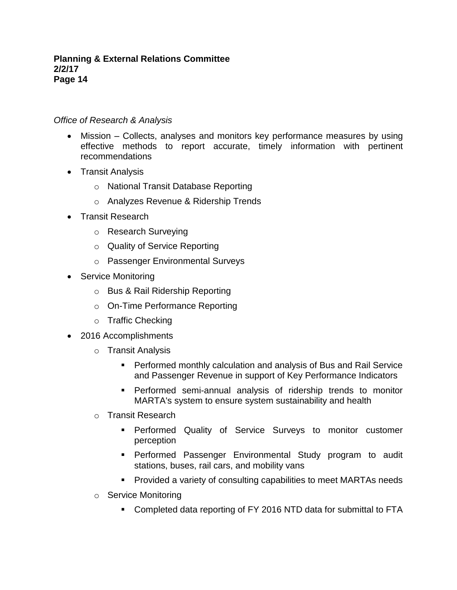## *Office of Research & Analysis*

- Mission Collects, analyses and monitors key performance measures by using effective methods to report accurate, timely information with pertinent recommendations
- Transit Analysis
	- o National Transit Database Reporting
	- o Analyzes Revenue & Ridership Trends
- Transit Research
	- o Research Surveying
	- o Quality of Service Reporting
	- o Passenger Environmental Surveys
- Service Monitoring
	- o Bus & Rail Ridership Reporting
	- o On-Time Performance Reporting
	- o Traffic Checking
- 2016 Accomplishments
	- o Transit Analysis
		- **Performed monthly calculation and analysis of Bus and Rail Service** and Passenger Revenue in support of Key Performance Indicators
		- **•** Performed semi-annual analysis of ridership trends to monitor MARTA's system to ensure system sustainability and health
	- o Transit Research
		- **•** Performed Quality of Service Surveys to monitor customer perception
		- **•** Performed Passenger Environmental Study program to audit stations, buses, rail cars, and mobility vans
		- Provided a variety of consulting capabilities to meet MARTAs needs
	- o Service Monitoring
		- Completed data reporting of FY 2016 NTD data for submittal to FTA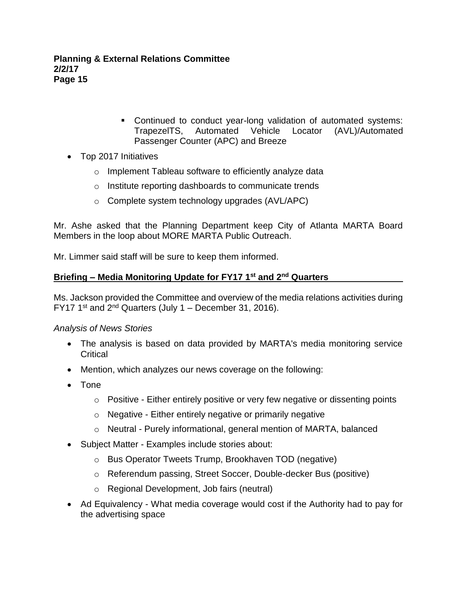- Continued to conduct year-long validation of automated systems: TrapezelTS, Automated Vehicle Locator (AVL)/Automated Passenger Counter (APC) and Breeze
- Top 2017 Initiatives
	- o Implement Tableau software to efficiently analyze data
	- o Institute reporting dashboards to communicate trends
	- o Complete system technology upgrades (AVL/APC)

Mr. Ashe asked that the Planning Department keep City of Atlanta MARTA Board Members in the loop about MORE MARTA Public Outreach.

Mr. Limmer said staff will be sure to keep them informed.

## **Briefing – Media Monitoring Update for FY17 1st and 2nd Quarters**

Ms. Jackson provided the Committee and overview of the media relations activities during FY17 1<sup>st</sup> and  $2<sup>nd</sup>$  Quarters (July 1 – December 31, 2016).

## *Analysis of News Stories*

- The analysis is based on data provided by MARTA's media monitoring service **Critical**
- Mention, which analyzes our news coverage on the following:
- Tone
	- o Positive Either entirely positive or very few negative or dissenting points
	- o Negative Either entirely negative or primarily negative
	- o Neutral Purely informational, general mention of MARTA, balanced
- Subject Matter Examples include stories about:
	- o Bus Operator Tweets Trump, Brookhaven TOD (negative)
	- o Referendum passing, Street Soccer, Double-decker Bus (positive)
	- o Regional Development, Job fairs (neutral)
- Ad Equivalency What media coverage would cost if the Authority had to pay for the advertising space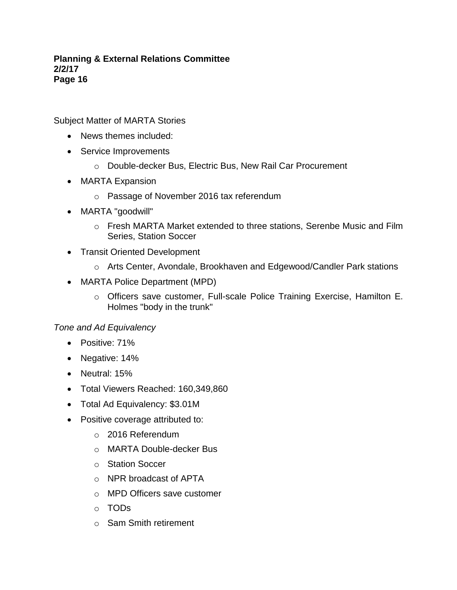Subject Matter of MARTA Stories

- News themes included:
- Service Improvements
	- o Double-decker Bus, Electric Bus, New Rail Car Procurement
- MARTA Expansion
	- o Passage of November 2016 tax referendum
- MARTA "goodwill"
	- $\circ$  Fresh MARTA Market extended to three stations, Serenbe Music and Film Series, Station Soccer
- Transit Oriented Development
	- o Arts Center, Avondale, Brookhaven and Edgewood/Candler Park stations
- MARTA Police Department (MPD)
	- o Officers save customer, Full-scale Police Training Exercise, Hamilton E. Holmes "body in the trunk"

## *Tone and Ad Equivalency*

- Positive: 71%
- Negative: 14%
- Neutral: 15%
- Total Viewers Reached: 160,349,860
- Total Ad Equivalency: \$3.01M
- Positive coverage attributed to:
	- o 2016 Referendum
	- o MARTA Double-decker Bus
	- o Station Soccer
	- o NPR broadcast of APTA
	- o MPD Officers save customer
	- o TODs
	- o Sam Smith retirement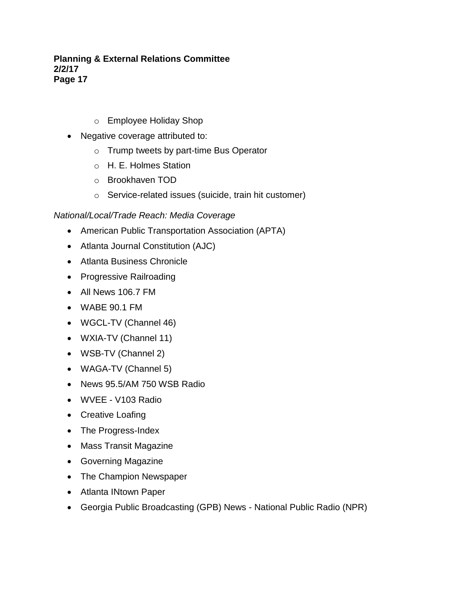- o Employee Holiday Shop
- Negative coverage attributed to:
	- o Trump tweets by part-time Bus Operator
	- o H. E. Holmes Station
	- o Brookhaven TOD
	- o Service-related issues (suicide, train hit customer)

# *National/Local/Trade Reach: Media Coverage*

- American Public Transportation Association (APTA)
- Atlanta Journal Constitution (AJC)
- Atlanta Business Chronicle
- Progressive Railroading
- All News 106.7 FM
- WABE 90.1 FM
- WGCL-TV (Channel 46)
- WXIA-TV (Channel 11)
- WSB-TV (Channel 2)
- WAGA-TV (Channel 5)
- News 95.5/AM 750 WSB Radio
- WVEE V103 Radio
- Creative Loafing
- The Progress-Index
- Mass Transit Magazine
- Governing Magazine
- The Champion Newspaper
- Atlanta INtown Paper
- Georgia Public Broadcasting (GPB) News National Public Radio (NPR)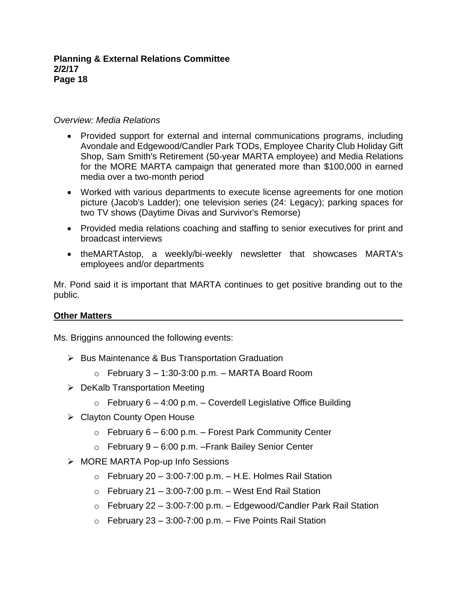## *Overview: Media Relations*

- Provided support for external and internal communications programs, including Avondale and Edgewood/Candler Park TODs, Employee Charity Club Holiday Gift Shop, Sam Smith's Retirement (50-year MARTA employee) and Media Relations for the MORE MARTA campaign that generated more than \$100,000 in earned media over a two-month period
- Worked with various departments to execute license agreements for one motion picture (Jacob's Ladder); one television series (24: Legacy); parking spaces for two TV shows (Daytime Divas and Survivor's Remorse)
- Provided media relations coaching and staffing to senior executives for print and broadcast interviews
- theMARTAstop, a weekly/bi-weekly newsletter that showcases MARTA's employees and/or departments

Mr. Pond said it is important that MARTA continues to get positive branding out to the public.

# **Other Matters**

Ms. Briggins announced the following events:

- ➢ Bus Maintenance & Bus Transportation Graduation
	- $\circ$  February 3 1:30-3:00 p.m. MARTA Board Room
- ➢ DeKalb Transportation Meeting
	- $\circ$  February 6 4:00 p.m. Coverdell Legislative Office Building
- ➢ Clayton County Open House
	- $\circ$  February 6 6:00 p.m. Forest Park Community Center
	- $\circ$  February 9 6:00 p.m. Frank Bailey Senior Center
- ➢ MORE MARTA Pop-up Info Sessions
	- $\circ$  February 20 3:00-7:00 p.m. H.E. Holmes Rail Station
	- $\circ$  February 21 3:00-7:00 p.m. West End Rail Station
	- $\circ$  February 22 3:00-7:00 p.m. Edgewood/Candler Park Rail Station
	- $\circ$  February 23 3:00-7:00 p.m. Five Points Rail Station